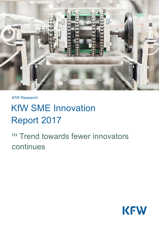

KfW Research

# KfW SME Innovation Report 2017

**WE Trend towards fewer innovators** continues

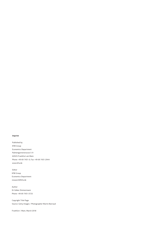#### **Imprint**

Published by KfW Group Economics Department Palmengartenstrasse 5-9 60325 Frankfurt am Main Phone +49 69 7431-0, Fax +49 69 7431-2944 www.kfw.de

Editor KfW Group Economics Department research@kfw.de

Author Dr Volker Zimmermann Phone +49 69 7431-3725

Copyright Title Page Source: Getty Images / Photographer Martin Barraud

Frankfurt / Main, March 2018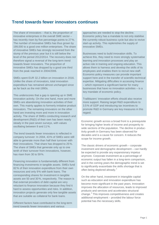# **Trend towards fewer innovators continues**

The share of innovators – that is, the proportion of innovative enterprises in the overall SME sector – has recently risen by five percentage points to 27%. The number of innovative SMEs has thus grown by 199,000 to a good one million enterprises. The share of innovative SMEs has strongly recovered from the slump of the previous year but it is still below the level of the period 2012/2014. The recovery does not therefore signal a reversal of the long-term trend towards fewer innovators. The proportion of innovative SMEs has dropped by a good one third from the peak reached in 2004/2006.

SMEs spent EUR 32.2 billion on innovation in 2016. Unlike the share of innovators, total innovation expenditure has remained almost unchanged since as far back as the mid-1990s.

This underscores that a gap is opening up in SME innovation activity. On the one hand, more and more SMEs are abandoning innovation activities of their own. This mainly applies to formerly imitative product innovators. The remaining innovators on the other hand are investing more and more in innovation activity. The share of SMEs conducting research and development (R&D) of their own has been nearly steady in the past seven surveys, with values oscillating between 9 and 11%.

The trend towards fewer innovators is reflected in company turnover: In 2004, 43% of SMEs were still able to generate more than half their turnover with their innovations. That share has dropped to 25%. The share of SMEs that generate only up to one tenth of their turnover from innovations, however, has risen from 30 to 59%.

Financing innovation is fundamentally different from financing investments in tangible assets. SMEs fund 82% of their innovation expenditure from their own resources and only 9% with bank loans. The corresponding shares for investment in tangible assets are 50 and 30%, respectively. The reason is that external providers of debt capital are very reluctant to finance innovation because they find it hard to assess opportunities and risks. In addition, innovation projects generate only few tangible assets that are suitable as collateral for bank loans.

Different factors have contributed to the long-term trend towards fewer innovators and various

approaches are needed to stop the decline. Economic policy has a mandate to not only stabilise the currently robust business cycle but also to revive start-up activity. This replenishes the supply of innovative SMEs.

Businesses need to build innovation skills. To achieve this, they need to more strongly systematise learning and innovation processes and play an active role in training and ongoing education. This allows them to harness and develop the skills of its employees and enables them to recruit new staff. Economic-policy measures can provide important support here and in the transfer of scientific-technical expertise. Mitigating difficulties in accessing finance – which represent a significant barrier for many businesses that have no innovation activities – is a key mandate of economic policy.

Trailblazers' innovation efforts should also receive more support. Raising target R&D expenditure to 3.5% of GDP and introducing tax incentives to promote R&D in Germany are key measures in this regard.

Economic growth across a broad front is a prerequisite for bringing higher levels of income and prosperity to wide sections of the population. The decline in productivity growth in Germany has been observed for decades and is a cause for concern. It reduces the scope for income growth.

The classic drivers of economic growth – corporate investment and demographic development – can hardly be expected to provide any expansionary impetus anymore. Corporate investment as a percentage of economic output has fallen in a long-term comparison, and in the coming years the demographic trend is set to significantly exacerbate the skills shortage that is often being deplored already.<sup>[1](#page-16-0)</sup>

On the other hand, investment in intangible capital such as education and innovation expenditure has become more significant in the past years. Innovation improves the allocation of resources, leads to improved products and services and accelerates structural change.[2](#page-16-1) This improves competitiveness and creates additional employment – provided the labour force potential has the necessary skills.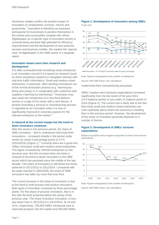Numerous studies confirm the positive impact of innovation on employment, turnover, returns and productivity.[3](#page-16-2) Innovation is therefore an important prerequisite for businesses to position themselves in the market and successfully compete with others. Digitalisation as a specific type of innovation activity is currently being ascribed high potential for efficiency improvements and the development of new products, services and business models. We explore the 'special case' of digitalisation in the SME sector in a separate report.

# **Innovation means more than research and development**

It is often overlooked that something newly introduced is an innovation not just if it is based on research (such as driver assistance systems or navigation devices with real-time traffic information). Small and medium-sized enterprises, in particular, often develop innovations out of the normal production process (e.g. 'learning-bydoing and using') or in cooperation with customers and suppliers ('learning-by-interacting').<sup>[4](#page-16-3)</sup> Innovation may also mean the introduction of a new food delivery service or a type of ice cream with a new flavour. A product (including a service) or manufacturing process is regarded as an innovation when it is new or significantly improved in essential aspects for the relevant enterprise or the market.<sup>[5](#page-16-4)</sup>

#### **A rebound at the current margin but the trend to fewer innovators continues**

After the slump in the previous period, the share of SME innovators – that is, enterprises that bring forth innovations – increased sharply in the period under review by nearly 5 percentage points to 27%  $(2014/2016)$  $(2014/2016)$  $(2014/2016)$  (Figure 1).<sup>6</sup> Currently there are a good one million innovative small and medium-sized enterprises. This figure increased by 199,000 enterprises on the previous year. But this increase does not mean a reversal of the trend to fewer innovators in the SME sector which has persisted since the middle of the last decade. The share of innovators is still below the levels achieved in 2011/2013 or 2012/2014. Compared with the peak reached in 2004/2006, the share of SME innovators has fallen by more than one third.

The current increase in the share of innovators is due to the trend in both process and product innovators. Both types of innovation increased by three percentage points. For the share of process innovators, that is in line with the level achieved before the slump of the previous year. The share of product innovators, in turn, was lower than in 2011/2013 or 2012/2014. At 19 and 16%, respectively, 705,000 SMEs introduced new or improved products into the market and 594,000 SMEs

# **Figure 1: Development of innovators among SMEs**

In per cent



 $\rightarrow$  Innovator  $\rightarrow$  Product innovator  $\rightarrow$  Process innovator

Note: Figures extrapolated to the number of enterprises. Source: KfW SME Panel, own calculations modernised their manufacturing processes.

SMEs' medium-term business expectations increased significantly from the low levels of the year 2014 (14.5 balance points) to just under 21 balance points in 2016 (Figure 2). The current rise is likely due to the fact that many small and medium-sized enterprises are more optimistic about where the economy is heading than in the previous period. However, the development of the share of innovators generally depends on a number of factors.

# **Figure 2: Development of SMEs' turnover expectations**

Balance of positive minus negative responses on three-year turnover expectations



Note: Figures extrapolated to the number of enterprises.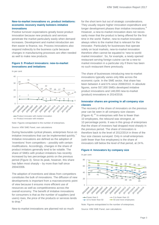# **New-to-market innovations vs. product imitations: economic recovery mainly bolsters imitative innovations**

Positive turnover expectations greatly boost product innovation because new products and services penetrate the market particularly easily when demand increases. Development and market introduction are then easier to finance, too. Process innovations also respond indirectly to the business cycle because changes in manufacturing processes are often needed as well to make new products.

# **Figure 3: Product innovators: new-to-market innovations and imitations**





**Product innovator with imitation** 

Note: Figures extrapolated to the number of enterprises.

Source: KfW SME Panel, own calculations

During favourable cyclical phases, enterprises focus on imitative innovations that can be implemented quickly. Imitative innovations are defined as the adoption of 'inventions' from competitors – possibly with certain modifications. Accordingly, changes in the share of product imitators generally tend to be volatile. The share of SMEs with product imitations has recently increased by two percentage points on the previous period (Figure 3). Since its peak, however, this share has fallen most sharply – by more than half since 2004/2006.

The adoption of inventions and ideas from competitors constitutes the bulk of innovations. The diffusion of new developments is important from a macroeconomic point of view because it ensures more efficient use of resources as well as competitiveness across the overall economy. The benefit of imitative innovations for consumers is that as the number of suppliers (and users) rises, the price of the products or services tends to drop. [8](#page-16-7)

New-to-market innovations are planned not so much

for the short term but out of strategic considerations. They usually require higher innovation expenditure and longer development phases than imitative innovations.<sup>[9](#page-16-8)</sup> However, a new-to-market innovation does not necessarily mean that the product is being offered for the first time in the world. Rather, new-to-market innovation always refers to the market that is relevant for the innovator. Particularly for businesses that operate solely on local markets, new-to-market innovation therefore often cannot be equated to 'new-to-worldmarket innovation'. So, for example, a newly opened restaurant serving foreign cuisine can be a new-tomarket innovation in a particular city if there has been no such restaurant there previously.

The share of businesses introducing new-to-market innovations typically varies only little across the economic cycle. In the SME sector, that share has been between 4 and 6 % since 2008/2010. In absolute figures, some 557,000 SMEs developed imitative product innovations and 148,000 new-to-market (product) innovations in 2014/2016.

# **Innovator shares are growing in all company size classes**

The recovery of the share of innovators on the previous year can be seen in all company size classes (Figure 4). $^{10}$  $^{10}$  $^{10}$  In enterprises with five to fewer than 10 employees, the rebound was strongest, at 10 percentage points. It was in this group of enterprises that the share of investors had dropped most sharply in the previous period. The share of innovators is therefore back to the level of 2012/2014 in three of the four size classes surveyed. Only in small enterprises (with fewer than five employees) is the share of innovators still below the level of that period, at 24%.

# **Figure 4: Innovators by company size**





Note: Figures extrapolated to the number of enterprises.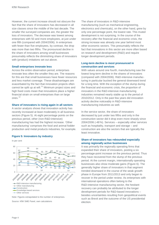However, the current increase should not obscure the fact that the share of innovators has decreased in all size classes since the middle of the last decade. The smaller the surveyed companies are, the greater the loss of innovators. The decrease was lowest among enterprises with 50 and more employees, at just under one fifth (compared with 2004/2006). In enterprises with fewer than five employees, by contrast, the drop was more than two fifths. The pronounced decline in the share of innovators among small businesses presumably reflects the diminishing share of innovators with (product) imitations set out above.

#### **Small enterprises innovate less**

Across the entire observation period, enterprises innovate less often the smaller they are. The reasons for this are that small businesses have fewer resources and less market coverage. These disadvantages are exacerbated by the fact that innovation projects often cannot be split up at will.<sup>[11](#page-16-10)</sup> Minimum project sizes and high fixed costs mean that innovations place a higher financial strain on small enterprises than on large ones.<sup>[12](#page-16-11)</sup>

#### **Share of innovators is rising again in all sectors**

A sector analysis shows that innovation activity has recently increased at least moderately in all business sectors (Figure 5). At eight percentage points on the previous period, other (non-R&D-intensive) manufacturing has had the highest increase. 'Other manufacturing' comprises the food and animal fodder production and metal products industries, for example.

#### **Figure 5: Innovators by industry**

In per cent



Note: Figures extrapolated to the number of enterprises.

Source: KfW SME Panel, own calculations

The share of innovators in R&D-intensive manufacturing (such as mechanical engineering, electronics and chemicals), on the other hand, grew by only one percentage point, the lowest rate. This muted development is not surprising. In the course of the recovery after the financial and economic crisis, the strong increase was already one year behind most other economic sectors. This presumably reflects the fact that innovations in this sector are more often based on research and development (R&D) and require longer development periods.

#### **Long-term decline is most pronounced in construction and services**

With values around one fourth, manufacturing saw the lowest long-term decline in the shares of innovators (compared with 2004/2006). R&D-intensive manufacturing in particular bucked the general downward trend for a long time. With the exception of the slump during the financial and economic crisis, the proportion of innovators in the R&D-intensive manufacturing industries remained nearly stable up to the period of 2010/2012. Only in the past few years did innovation activity decline noticeably in R&D-intensive manufacturing industries as well.

In the service sector, the share of innovators decreased by just under two fifths and only in the construction sector did it drop even more sharply since 2004/2006 (-48%). Services – especially other services such as hospitality, transport and storage – and construction are also the sectors that are typically the least innovative.

#### **Share of innovators has rebounded especially among regionally active businesses**

It was primarily the regionally operating firms that expanded their share of innovators, posting a six percentage-point increase on the previous period. Thus they have recovered from the slump of the previous period. At the current margin, internationally operating businesses also show moderate gains (Figure 6). The generally higher share of innovators in that segment trended downward in the course of the weak growth phase in Europe from 2011/2013 and only began to recover in the period under review. As enterprises with international operations often belong to the R&D-intensive manufacturing sector, the hesitant recovery can probably be attributed to the longer development periods for R&D-based innovations – besides uncertainties resulting from geopolitical events such as Brexit and the outcome of the US presidential election.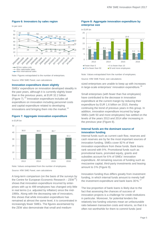#### **Figure 6: Innovators by sales region**

In per cent



Note: Figures extrapolated to the number of enterprises.

Source: KfW SME Panel, own calculations

#### **Innovation expenditure down slightly**

SMEs' expenditure on innovation developed steadily in the past years, although it is currently slightly lower than in the previous years, at EUR 32.2 billion (Figure 7).<sup>[13](#page-16-12)</sup> Innovation expenditure includes all expenditure on innovation including personnel costs and capital expenditure related to developing innovations and bringing them into the market.<sup>[14](#page-16-13)</sup>

# **Figure 7: Aggregate innovation expenditure**

in EUR bn



Note: Values extrapolated from the number of employees.

A long-term comparison (on the basis of the surveys by the Centre for European Economic Research  $-$  ZEW<sup>[15](#page-16-14)</sup>) shows that innovation expenditure incurred by enterprises with up to 499 employees has changed only little in real terms (i.e. adjusted by inflation) since the mid-1990s. Along with the decreasing rate of innovators, this shows that while innovation expenditure has remained at almost the same level, it is concentrated in increasingly fewer SMEs. The figures ascertained by the ZEW also demonstrate that small and medium-

# **Figure 8: Aggregate innovation expenditure by enterprise size**



Note: Values extrapolated from the number of employees.

Source: KfW SME Panel, own calculations

sized enterprises are unable to keep up with increases in large-scale enterprises' innovation expenditure.<sup>[16](#page-16-15)</sup>

Small enterprises (with fewer than five employees) have contributed to the decrease in innovation expenditure at the current margin by reducing their expenditure by EUR 1.6 billion on 2015, thereby continuing the trend of previous years in this group. In addition, innovation expenditure incurred by large SMEs (with 50 and more employees) has settled on the levels of the years 2013 and 2014 after increasing in the previous year (Figure 8).

# **Internal funds are the dominant source of innovation funding**

Internal funds such as current cash flow, reserves and cash reserves are by far the most important sources of innovation funding. SMEs cover 82% of their innovation expenditure from these funds. Bank loans rank second with 9%. Promotional funds such as promotional loans, promoted equity, grants and subsidies account for 6% of SMEs' innovation expenditure. All remaining sources of funding such as mezzanine capital, third-party investments and leasing amount to 3% (Figure 9).

Innovation funding thus differs greatly from investment funding, in which internal funds amount to merely half the investment expenditure and bank loans  $30\%$ .<sup>[17](#page-16-16)</sup>

The low proportion of bank loans is likely due to the fact that assessing the chances of success of innovation projects is a challenge for credit institutions in particular. Moreover, for potential lenders the relatively low funding volumes mean an unfavourable ratio between transaction costs and returns, so that it is often not worthwhile for them to commit funds (and

Source: KfW SME Panel, own calculations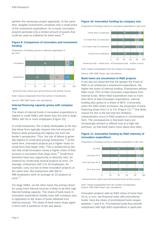perform the necessary project appraisal). At the same time, tangible investments constitute only a small share of the investment expenditure. As a result, innovation projects generate only a limited amount of assets that could be used as collateral for bank loans.<sup>[18](#page-16-17)</sup>

# **Figure 9: Comparison of innovation and investment funding**

Proportions of funding sources in relevant expenditure in per cent



 $\blacksquare$ Internal funds  $\blacksquare$  Bank loans  $\blacksquare$  Promotional funds  $\blacksquare$  Other sources

Note: Values extrapolated from the number of employees.

Source: KfW SME Panel, own calculations

#### **Internal financing capacity grows with company size**

The share of internal funds in innovation expenditure is highest in small SMEs with fewer than five and in large SMEs with 50 or more employees (Figure 10).

In small enterprises, this is likely attributable to the fact that these firms typically request only low amounts of finance while presenting the highest risk from the lender's perspective. Thus, the risk of failure is gener-ally highest in small (and young) enterprises.<sup>[19](#page-16-18)</sup> At the same time, innovation projects put a higher strain on small firms than larger ones. This is evidenced by the fact that small innovators invest a higher share of their turnover in innovation than large ones. $20$  Small firms therefore have less opportunity to diversify risks, for instance by conducting several projects at once. On average, enterprises with 5 to 19 employees, for example, carry out two to three innovation projects at the same time. But enterprises with 500 to 999 employees work on average on 22 projects at once.<sup>[21](#page-16-20)</sup>

For large SMEs, on the other hand, the primary driver for using more internal sources is likely to be their high internal funding capacity. The share of bank loans in innovation expenditure initially rises with company size, in opposition to the share of funds obtained from internal sources. The share of bank loans drops again in firms with a workforce of ten and above.

#### **Figure 10: Innovation funding by company size**

Proportions of funding sources in innovation expenditure in per cent



Note: Values extrapolated from the number of employees.

Source: KfW SME Panel, own calculations

#### **Bank loans are uncommon in R&D projects**

It can also be observed that the greater the share of R&D in an enterprise's investment expenditure, the higher the share of internal funding. Enterprises without R&D cover 79% of their innovation expenditure from internal funds. When R&D expenditure rises to more than 90% of total innovation expenditure, internal funding also grows to a share of 88%. Conversely, when the R&D share increases, the proportion of bank financing drops from 11 to 3% (Figure 11). $^{22}$  $^{22}$  $^{22}$  One likely reason for this is the fact that the inhibitory characteristics occur in R&D projects in concentrated form. The consequence is that bank loans are increasingly refused or offered only at a high risk premium, so that bank loans come about less often.

# **Figure 11: Innovation funding by R&D intensity of innovation expenditure**



Proportions of funding sources in relevant expenditure in per cent

Internal funds  $\blacksquare$  Bank loans  $\blacksquare$  Promotional funds  $\blacksquare$  Other sources

Note: Values extrapolated from the number of employees. Source: KfW SME Panel, own calculations

Innovation projects with an R&D share of more than 50 %, in turn, are financed more with promotional funds. Here the share of promotional funds ranges between 7 and 8 %. Promotional funds thus benefit enterprises with high R&D expenditure in particular.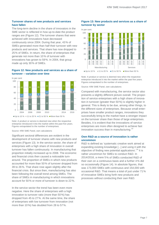# **Turnover shares of new products and services have fallen**

The long-term decline in the share of innovators in the SME sector is reflected in how up-to-date the product ranges are (Figure 12). The turnover shares that were achieved with innovations have decreased continuously since 2004. During that year, 43% of SMEs generated more than half their turnover with new products and services. That share has now dropped to 25% of SMEs. In return, the share of enterprises that generate not more than 10 % of turnover with innovations has grown to 59%. In 2004, that group made up only 30% of SMEs.

# **Figure 12: New products and services as a share of turnover – variation over time**



Note: A product or service is deemed new when the respective enterprise introduced it into the market within the past five years. Figures extrapolated to the number of enterprises.

Source: KfW SME Panel, own calculations

Significant sectoral differences are evident in the development of turnover shares with new products and services (Figure 13). In the service sector, the share of enterprises with a high share of innovation in overall turnover has fallen continuously. In manufacturing that proportion initially increased up to 2008. The economic and financial crisis then caused a noticeable turnaround. The proportion of SMEs in which new products accounted for more than 50% of turnover dropped from 39 to 26%. That share rose again slightly after the financial crisis. But since then, manufacturing has also been following the overall trend among SMEs. The share of SMEs in manufacturing in which innovations account for 50% or more of turnover is down to 22%.

In the service sector the trend has been even more negative. Here the share of enterprises with a high innovation to turnover ratio (more than 50%) has dropped from 45 to 27%. At the same time, the share of enterprises with low turnover from innovation (not more than 10%) has doubled from 28 to 57%.

# **Figure 13: New products and services as a share of turnover by sector**



Note: A product or service is deemed new when the respective enterprise introduced it into the market within the past five years. Figures extrapolated to the number of enterprises.

Source: KfW SME Panel, own calculations

Compared with manufacturing, the service sector also presents a slightly different picture overall. The proportion of service enterprises with a high share of innovation in turnover (greater than 50%) is slightly higher in general. This is likely to be due, among other things, to the different sizes of enterprises. Because small enterprises have smaller product ranges, innovations they successfully bring to the market have a stronger impact on the turnover share than those of large enterprises. Besides, it is evident that the innovations of service enterprises are more often designed to achieve fast innovation success than in manufacturing.<sup>[23](#page-16-22)</sup>

# **Own R&D as a source of innovation is rather uncommon**

R&D is defined as 'systematic creative work aimed at expanding existing knowledge [...] and using it with the objective of finding new potential applications'.<sup>[24](#page-16-23)</sup> It is rather uncommon for SMEs to conduct R&D. In 2014/2016, a mere 5% of SMEs conducted R&D of their own on a continuous basis and a further 4% did so occasionally (Figure 14). In absolute figures, that was 173,000 SMEs with continuous and 154,000 with occasional R&D. That means a total of just under 71% of innovative SMEs bring forth new products and processes without conducting their own R&D.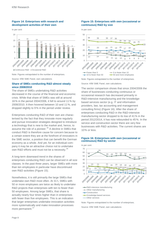# **Figure 14: Enterprises with research and development activities of their own**

In per cent



Note: Figures extrapolated to the number of enterprises.

Source: KfW SME Panel, own calculations

# **Share of SMEs conducting R&D almost steady since 2008/2010**

The share of SMEs undertaking R&D activities decreased in the course of the financial and economic crisis. While that share of SMEs was still at around 16% in the period 2004/2006, it fell to around 11% by 2008/2010. It then hovered between 10 and 11%, and dropped slightly to 9% in the period under review.

Enterprises conducting R&D of their own are characterised by the fact that they innovate more regularly and pursue innovation strategies designed to introduce a technology that is new to the market and, hence, to assume the role of a pioneer.<sup>[25](#page-17-0)</sup> A decline in SMEs that conduct R&D is therefore cause for concern because to a certain extent they are at the forefront of innovators in the SME sector, a position that can benefit the German economy as a whole. And yet, for an individual company it may be an attractive choice not to undertake own R&D efforts and must not be a necessity.<sup>[26](#page-17-1)</sup>

A long-term downward trend in the shares of enterprises conducting R&D can be observed in all size classes. In the past three years, larger SMEs with more than ten employees in particular have discontinued own R&D activities (Figure 15).

Nonetheless, it is still primarily the large SMEs that undertake own R&D most often. At 31 %, SMEs with 50 or more employees are twice as likely to undertake R&D projects than enterprises with ten to fewer than 50 employees. Among large SMEs, that share is actually nearly four times higher than in enterprises with fewer than five employees. This is an indication that larger enterprises undertake innovation activities more systematically and make innovation processes more permanent.<sup>[27](#page-17-2)</sup>

# **Figure 15: Enterprises with own (occasional or continuous) R&D by size**

In per cent



Note: Figures extrapolated to the number of enterprises.

Source: KfW SME Panel, own calculations

The sector comparison shows that since 2004/2006 the share of businesses conducting continuous or occasional research has decreased primarily in R&D-intensive manufacturing and the knowledgebased services sector (e.g. IT and information providers, law, tax accounting and management consulting firms) (Figure 16). After the share of enterprises conducting R&D in the R&D-intensive manufacturing sector dropped to its low of 41% in the period 2012/2014, it has now rebounded to 45%. In the service and construction sector there are very few businesses with R&D activities. The current shares are 10% or less.

#### **Figure 16: Enterprises with own (occasional or continuous) R&D by sector**



Other services

Note: Figures extrapolated to the number of enterprises.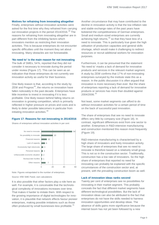#### **Motives for refraining from innovating altogether**

Finally, enterprises without innovation activities were asked for the first time why they refrained from carrying out innovation projects in the period 2014/2016.<sup>[28](#page-17-3)</sup> The reasons for refraining from innovating altogether are in part different from the inhibiting factors which innovators mention as restricting their innovation activities. This is because enterprises do not encounter specific difficulties until the moment they set about innovating. Many obstacles are not foreseeable.

#### **'No need to' is the main reason for not innovating**

The bulk of SMEs, 54%, reported that they did not consider it necessary to innovate during the period under review (Figure 17). This can be seen as an indication that those enterprises do not currently see innovation activity as useful for their business.

One likely reason is that, according to the study by  $ZEW$  and Prognos<sup>29</sup>, the returns on innovation have fallen noticeably in the past decade. Enterprises have little incentive to invest in innovating if it is less profitable. One likely reason behind falling returns on innovation is growing competition, which is primarily reflected in higher pressure on prices and costs and is likely to deter possible latecomers in particular from initiating innovation activities.<sup>[30](#page-17-5)</sup>

#### **Figure 17: Reasons for not innovating in 2014/2016**

Shares of enterprises without innovation activities in per cent



Note: Figures extrapolated to the number of enterprises.

Source: KfW SME Panel, own calculations

It is also possible that other factors play a role here as well. For example, it is conceivable that the technological complexity of innovations increases over time. That makes it harder to imitate them. With respect to the growing importance of digital technologies for innovation, it is plausible that network effects favour pioneer enterprises, making possible imitations such as those often produced by small businesses less profitable.<sup>[31](#page-17-6)</sup>

Another circumstance that may have contributed to the decline in innovation activity is that the low inflation rate and stable exchange rates of the past years have bolstered the competitiveness of German enterprises. Small and medium-sized enterprises are currently achieving high returns,  $32$  so that they have less of a need to innovate. This is particularly true given the high utilisation of production capacities and general skills shortage, which would make it challenging to redirect resources or recruit additional workers for innovation purposes.

Furthermore, it can be presumed that the statement 'No need to' masks a lack of demand for innovative products and services in the relevant market segment. A study by ZEW confirms that 17% of non-innovating enterprises surveyed by the institute state this as a reason. In the public discussion it is often argued that innovation is more necessary than ever. But the share of enterprises reporting a lack of demand for innovative products or services has more than doubled against 2004/2006.<sup>[33](#page-17-8)</sup>

Not least, some market segments can afford to do without innovation activities for a certain period of time on the back of successful past innovation.

The share of enterprises that see no need to innovate differs very little by company size (Figure 18). In contrast, significant differences exist from one sector to another. Enterprises in R&D-intensive manufacturing and construction mentioned this reason most frequently (Figure 19).

R&D-intensive manufacturing is characterised by a high share of innovators and lively innovation activity. The large share of enterprises that see no need to innovate is therefore based on a relatively small group. This is not so in the construction sector. Traditionally, construction has a low rate of innovators. So the high share of enterprises that reported no need for innovating can probably be explained with the specific circumstances of the construction sector and, at present, with the prevailing construction boom as well.

#### **Lack of innovation ideas ranks second**

Twenty per cent of enterprises see no possibilities for innovating in their market segment. This probably conceals the fact that different market segments have different technological possibilities. But the lack of innovation ideas can also be attributed to the fact that enterprises do not have the skills needed to harness innovation opportunities and develop ideas. The absence of skills gains more significance because the internet boom has not yet been followed by a new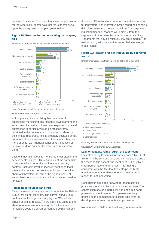technological wave. Thus new innovation opportunities for the wider SME sector have not thrust themselves upon the enterprises in the past years either.

# **Figure 18: Reasons for not innovating by company size**

Shares of enterprises without innovation activities in per cent



Note: Figures extrapolated to the number of enterprises.

Source: KfW SME Panel, own calculations

At first glance, it is surprising that the share of enterprises mentioning this reason is lowest among the small ones. It could also have been expected that small enterprises in particular would be most severely restricted in the development of innovation ideas by their limited resources. This is probably because small, non-innovative enterprises face other specific barriers more directly (e.g. financial constraints). The lack of innovation ideas appears therefore less relevant for them. [34](#page-17-9)

Lack of innovation ideas is mentioned most often in the service sector as well. Thus it applies at the same time to sectors with a generally low innovator rate. By contrast, lack of innovation ideas is mentioned least often in the construction sector, which also has a low share of innovators. In return, the highest share of enterprises here – around two thirds – see 'no need to innovate'.

#### **Financing difficulties rank third**

Financial reasons were reported as a motive by 10% of SMEs that do not innovate. The current survey thus confirms the findings of a study by the ZEW which arrived at similar results.<sup>[35](#page-17-10)</sup> If we apply this value to the share of non-innovators among SMEs, the share of innovators could be seven percentage points higher if

financing difficulties were removed. In a similar way as for innovators, non-innovative SMEs reporting financing difficulties were also mostly small firms. $36$  Enterprises indicating financial reasons were mainly from the segments of other manufacturing and other services – segments that have a relatively low profit margin<sup>[37](#page-17-12)</sup> as well as, along with the service sector, below-average credit ratings.<sup>[38](#page-17-13)</sup>

# **Figure 19: Reasons for not innovating by economic sector**



Shares of enterprises without innovation activities in per cent

Other services

Note: Figures extrapolated to the number of enterprises.

Source: KfW SME Panel, own calculations

#### **Lack of capacity ranks fourth, at six per cent**

Lack of capacity for innovation was reported by 6% of SMEs. The healthy business cycle is likely to be one of the reasons this aspect was mentioned – if only by a small percentage of enterprises. This finding is consistent with the fact that few enterprises (2%) mention an unfavourable economic situation as a reason for not innovating.

Construction firms and knowledge-based service providers mentioned lack of capacity most often. The construction sector in particular has been in a boom phase for some time now. Companies are likely prioritising the completion of existing jobs over the development of new products and processes.

Non-innovative SMEs are least likely to mention the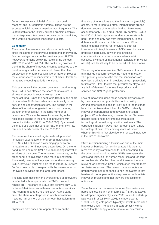factors 'excessively high risks/costs', 'personal reasons' and 'bureaucratic hurdles'. These are the aspects which innovators mention most frequently. This is attributable to the initially outlined problem complex that enterprises often do not perceive barriers until they start working on specific innovation projects.

#### **Conclusion**

The share of innovators has rebounded noticeably since the slump in the previous period and improved by five percentage points on the previous year. At 27%, however, it remains below the levels of the periods 2011/2013 and 2012/2014. The continuing downward trend in the share of innovators can be attributed to the trend among small enterprises with fewer than five employees. In enterprises with five or more employees, the current shares of innovators are at similar levels as in the two preceding periods mentioned.

This year as well, the ongoing downward trend among small SMEs has affected the share of innovators in almost all economic sectors except 'other manufacturing'. Since the peak of 2004/2006, the share of innovative SMEs has fallen most noticeably in the service and construction sectors. The decline in the share of innovators originated not so much among pioneer enterprises but in the large number of latecomers. This can be seen, for example, in the noticeable decline in the share of innovators with product imitations (-52% on 2004/2006). By contrast, the share of SMEs that conduct R&D of their own has remained nearly constant since 2008/2010.

Furthermore, the stable long-term development of innovation expenditure among SMEs (latest figure: EUR 32.2 billion) shows a widening gap between innovative and non-innovative enterprises. On the one hand, more and more SMEs are abandoning innovation activities of their own. The remaining innovators, on the other hand, are investing all the more in innovation. The steady volume of innovation expenditure among SMEs, however, must not hide the fact that SMEs were far from being able to keep up with the development of innovation activities among large enterprises.

The long-term decline in the overall share of innovators is reflected in how up-to-date the SMEs' product ranges are. The share of SMEs that achieve only 10% or less of their turnover with new products or services has risen from 30 to 59% since 2004. At the same time, the share of enterprises in which innovations make up half or more of their turnover has fallen from 43 to 25%.

Significant differences are apparent between the

financing of innovations and the financing of (tangible) assets. At more than four fifths, internal funds are the dominant source of innovation funding. Bank loans account for only 9%, a small share. By contrast, SMEs fund 30% of their capital expenditure on assets with bank loans and only half from internal funds. These differences illustrate that it is much more difficult to obtain external finance for innovations than for investments in tangible assets. R&D-based innovation projects in particular, in which the inhibiting characteristics are more pronounced (uncertain success, low share of investment in tangible or physical assets), are least likely to be financed with bank loans.

The survey of non-innovative SMEs revealed that more than half do not currently see the need to innovate. This probably conceals the fact that innovations are now less profitable than in previous times – particularly for imitators. Other factors that presumably play a role are lack of demand for innovative products and services and SMEs' good profitability.

Lack of innovation ideas ranks second, demonstrated by the statement 'no possibilities for innovating'. Among other reasons, this is likely due to the fact that lack of expertise makes it hard for SMEs to identify innovation opportunities and develop innovation projects. What is also true, however, is that Germany has not experienced any impetus from major technological breakthroughs in the past years. The current digitalisation wave may represent such a new technological push. The coming years will show whether this will in fact give rise to a renewed increase in the rate of innovators.

SMEs mention funding difficulties as one of the main innovation barriers; for non-innovators it is the third most frequently stated reason for not innovating. On the other hand, non-innovative SMEs rarely perceive costs and risks, lack of human resources and red tape as problematic. On the other hand, these factors are relevant for innovative SMEs, which often refer to them as obstacles as well. The reason these aspects are probably of minor importance to non-innovators is that barriers do not appear until enterprises actually initiate innovation projects and that they are impossible to anticipate.

Some factors that decrease the rate of innovators are perceived less clearly by enterprises.<sup>[39](#page-17-14)</sup> Start-up activity has dropped significantly since 2003. While the start-up rate was still at 2.84% in 2003, it is now down to 1.30%. Young enterprises typically innovate more often than older ones. The decline in start-up activity thus means that the supply of new innovative enterprises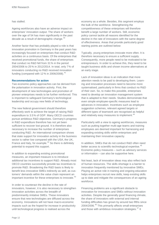#### has stalled.

Ageing workforces also have an adverse impact on enterprises' innovation output. The share of workers over the age of 54 has risen significantly in the past decade as a result of demographic change.<sup>[40](#page-17-15)</sup>

Another factor that has probably played a role is that innovation promotion in Germany in the past years has increasingly focused on enterprises that conduct R&D activities on a continuous basis. Of the enterprises that received promotional funds, the share of enterprises that conduct no R&D fell from 31% in the period 2004/2006 to 25% in 2012/2014. In total, only 7% of innovators conducting no R&D received innovation funding (compared with  $12\%$  in 2006/2008).<sup>[41](#page-17-16)</sup>

#### **Recommendations for action**

Two economic-policy approaches can be derived from the polarisation in innovation activity. First, the development of new technologies and promotion of pioneer enterprises needs to be further reinforced. This is important to safeguard Germany's technological leadership and occupy new fields of technology.

The new federal government should therefore effectively work to achieve the target of raising R&D expenditure to 3.5% of GDP. Many OECD countries pursue ambitious R&D objectives. Germany's progress in R&D expenditure therefore has not yet been sufficient to recover lost ground. It is therefore also necessary to increase the number of enterprises conducting R&D. An international comparison shows that state support for innovation activity in the business sector is rather low compared with the USA, the UK, France and Italy, for example.<sup>[42](#page-17-17)</sup> So there is definitely potential to expand this support.

In addition to expanding existing promotional measures, an important measure is to introduce additional tax incentives to support R&D. Already most OECD countries successfully provide tax incentives to promote R&D. Broadening the R&D basis is likely to benefit less innovative SMEs indirectly as well, as customers' demands within the value chain represent an important incentive for these enterprises to innovate.<sup>[43](#page-17-18)</sup>

In order to counteract the decline in the rate of innovators, however, it is also necessary to strengthen innovation activities across the breadth of predominantly imitative SMEs. These innovators ensure that new technologies are diffused across the economy. Innovations will not have macro-economic impacts such as the hoped-for increase in productivity until technological progress is realised across the

economy as a whole. Besides, this segment employs the bulk of the workforce. Strengthening the competitiveness of these enterprises will therefore benefit a large number of workers. Still, economic policy cannot tackle all reasons identified for the decline in the rate of innovators with the same degree of effectiveness. Areas that provide particularly good starting points are outlined below:

Typically, young enterprises innovate more often. It is therefore necessary to ensure a sufficient supply. Consequently, more people need to be motivated to be entrepreneurs. In order to achieve this, they need to be taught business skills and shown income alternatives at an early stage.

Lack of innovation ideas is an indication that more attention needs to be paid to developing them. Learning and innovation processes need to become more systematised, particularly in firms that conduct no R&D of their own. So, to make this possible, enterprises need to develop an innovation management system that is adapted to their needs. Studies demonstrate that even simple employee-specific measures lead to advances in innovation. Incentives such as employee suggestion schemes, relevant agreed targets or different types of teamwork are recognised as helpful and relatively easy measures to implement.<sup>[44](#page-17-19)</sup>

Particularly with a view to ageing workforces, measures such as putting together multi-age teams and training employees are deemed important for harnessing and expanding existing skills within enterprises and maintaining their innovative capacity.

In addition, SMEs that do not conduct R&D often need better access to scientific-technological expertise.<sup>[45](#page-17-20)</sup> Economic-policy measures – such as advisory services or information – can also be supportive here.

Not least, lack of innovation ideas may also reflect lack of human resources. The skills shortage is a barrier to innovation frequently mentioned by innovative SMEs. Playing an active role in training and ongoing education helps enterprises recruit new skills, keep existing skills up to date and mitigate the consequences of an ageing workforce.

Financing problems are a significant obstacle to innovation for innovators and SMEs without innovation activities. Despite the generally good financing climate, the share of innovators with external and internal funding difficulties has grown by around two fifths since 2004/2006.[46](#page-17-21) This primarily affects small enterprises and those with ambitious innovation strategies.<sup>[47](#page-17-22)</sup> It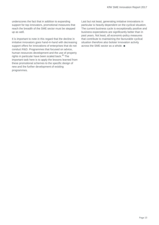underscores the fact that in addition to expanding support for top innovators, promotional measures that reach the breadth of the SME sector must be stepped up as well.

It is important to note in this regard that the decline in imitative innovators goes hand-in-hand with decreasing support offers for innovations of enterprises that do not conduct R&D. Programmes that focused on advice, human resources development and the use of property rights in particular have been scaled back.<sup>[48](#page-17-23)</sup> The important task here is to apply the lessons learned from these promotional schemes to the specific design of new and the further development of existing programmes.

Last but not least, generating imitative innovations in particular is heavily dependent on the cyclical situation. The current business cycle is exceptionally positive and business expectations are significantly better than in past years. Not least, all economic-policy measures that contribute to maintaining the favourable cyclical situation therefore also bolster innovation activity across the SME sector as a whole. ■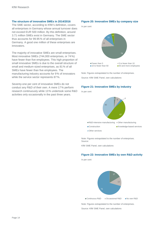# **The structure of innovative SMEs in 2014/2016**

The SME sector, according to KfW's definition, covers all enterprises in Germany whose annual turnover does not exceed EUR 500 million. By this definition, around 3.71 million SMEs exist in Germany. The SME sector thus accounts for 99.95% of all enterprises in Germany. A good one million of these enterprises are innovators.

The majority of innovative SMEs are small enterprises. Most innovative SMEs (744,000 enterprises, or 74%) have fewer than five employees. This high proportion of small innovative SMEs is due to the overall structure of small and medium-sized enterprises, as 81% of all SMEs have fewer than five employees. The manufacturing industry accounts for 9% of innovators while the service sector represents 87%.

Seventy-one per cent of innovative SMEs do not conduct any R&D of their own. A mere 17% perform research continuously while 13% undertook some R&D activities only occasionally in the past three years.

#### **Figure 20: Innovative SMEs by company size**

In per cent



Note: Figures extrapolated to the number of enterprises. Source: KfW SME Panel, own calculations

#### **Figure 21: Innovative SMEs by industry**

In per cent



Note: Figures extrapolated to the number of enterprises. Source:

KfW SME Panel, own calculations

#### **Figure 22: Innovative SMEs by own R&D activity**

In per cent



Note: Figures extrapolated to the number of enterprises.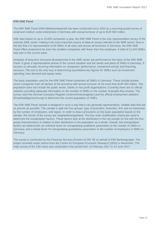# <span id="page-16-0"></span>**KfW SME Panel**

<span id="page-16-1"></span>The KfW SME Panel (KfW-Mittelstandspanel) has been conducted since 2003 as a recurring postal survey of small and medium-sized enterprises in Germany with annual turnover of up to EUR 500 million.

<span id="page-16-2"></span>With data based on up to 15,000 companies a year, the KfW SME Panel is the only representative survey of the German SME sector, making it the most important source of data on issues relevant to the SME sector. Due to the fact that it is representative of all SMEs of all sizes and across all branches in Germany, the KfW SME Panel offers projections for even the smallest companies with fewer than five employee. A total of 11,043 SMEs took part in the current wave.

<span id="page-16-5"></span><span id="page-16-4"></span><span id="page-16-3"></span>Analyses of long-term structural developments in the SME sector are performed on the basis of the KfW SME Panel. It gives a representative picture of the current situation and the needs and plans of SMEs in Germany. It focuses on annually recurring information on companies' performance, investment activity and financing structure. This tool is the only way of determining quantitative key figures for SMEs such as investment spending, loan demand and equity ratios.

<span id="page-16-8"></span><span id="page-16-7"></span><span id="page-16-6"></span>The basic population used for the KfW SME Panel comprises all SMEs in Germany. These include privatesector companies from all sectors of the economy with annual turnover of not more than EUR 500 million. The population does not include the public sector, banks or non-profit organisations. Currently there are no official statistics providing adequate information on the number of SMEs or the number of people they employ. The survey used the German Company Register (Unternehmensregister) and the official employment statistics (Erwerbstätigenrechnung) to determine the current population of SMEs.

<span id="page-16-11"></span><span id="page-16-10"></span><span id="page-16-9"></span>The KfW SME Panel sample is designed in such a way that it can generate representative, reliable data that are as precise as possible. The sample is split into four groups: type of promotion, branches, firm size as measured by the number of employees, and region. In order to draw conclusions on the basic population based on the sample, the results of the survey are weighted/extrapolated. The four main stratification criteria are used to determine the extrapolation factors. These factors look at the distribution in the net sample (in line with the four group characteristics) in relation to their distribution in the population as a whole. Overall, two extrapolation factors are determined: an unlinked factor for extrapolating qualitative parameters to the number of SMEs in Germany, and a linked factor for extrapolating quantitative parameters to the number of employees in SMEs in Germany.

<span id="page-16-23"></span><span id="page-16-22"></span><span id="page-16-21"></span><span id="page-16-20"></span><span id="page-16-19"></span><span id="page-16-18"></span><span id="page-16-17"></span><span id="page-16-16"></span><span id="page-16-15"></span><span id="page-16-14"></span><span id="page-16-13"></span><span id="page-16-12"></span>The survey is conducted by the Financial Services Division of GfK SE on behalf of KfW Bankengruppe. The project received expert advice from the Centre for European Economic Research (ZEW) in Mannheim. The main survey of the 15th wave was conducted in the period from 13 February 2017 to 23 June 2017.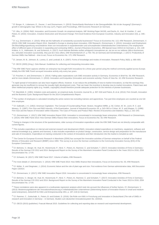<span id="page-17-0"></span><sup>1</sup> Cf. Borger, K., Lüdemann, E., Zeuner, J. and Zimmermann, V. (2013): Deutschlands Wachstum in der Demografiefalle: Wo ist der Ausgang? (Germany's growth in demographic trap: Where is the way out?), Papers and Proceedings, KfW Economic Research (in German).

<span id="page-17-1"></span><sup>2</sup> Cf. Ulku, H. (2004): R&D, Innovation, and Economic Growth: An empirical Analysis, IMF Working Paper 04/195, and Dachs, B., Hud, M. Koehler, C. and Peters, B. (2016): Innovation, Creative Destruction and Structural Change: Firm-level Evidence from European Countries. Industry and Innovation 2(4), p. 346– 381.

<span id="page-17-3"></span><span id="page-17-2"></span><sup>3</sup> Cf. e.g. Zimmermann, V. (2015): What are the hallmarks of consistently successful businesses? Focus on Economics No. 113, KfW Research; Zimmermann, V. (2015): KfW SME Innovation Report 2014. Standstill in Europe is slowing down innovation. KfW Research; Zimmermann, V. (2014): Innovation and Employment Die Beschäftigungswirkung verschiedener Arten von Innovationen in expandierenden und schrumpfenden mittelständischen Unternehmen (*The employment effect of different types of innovation in expanding and contracting SMEs*), Journal of Business Economics, ZfB-Special Issue 4/2013 (in German): p. 131–149 Kritikos, A. S., Hafenstein, M. and Schiersch, A. (2017): Auch kleinste Betriebe stoßen erfolgreich Innovationen an, sie tun es nur seltener *(Micro-businesses, too, stimulate innovation successfully, they just do it less often*), DIW Wochenbericht 27, p 755–761 (in German) and Gerstenberger, J. (2017): Productivity of German SMEs has flatlined – time to act, Focus on Economics No. 172, KfW Research.

<span id="page-17-4"></span><sup>4</sup> Cf. Jensen, M. B.; Johnson, B.; Lorenz, E. and Lundvall, B. A. (2007): Forms of knowledge and modes of innovation. Research Policy 36(5): p. 680–693.

<span id="page-17-5"></span><sup>5</sup> Cf. OECD (2005) (Hrsg.): Oslo Manual. Guidelines for collecting and interpreting innovation data.

<sup>6</sup> The KfW SME Panel captures whether an enterprise has brought forth innovations for a three-year period using the method commonly applied across Europe. Initially the KfW SME Panel surveyed innovative activity only every two years.

<span id="page-17-6"></span> $^7$  Cf. Poschen, K. and Zimmermann, V. (2014): Falling sales expectations curb SME innovation activity in Germany. Economics in Brief No. 58, KfW Research, and for more details Zimmermann, V. (2010): Innovation und Konjunktur (Innovation and economic activity). Points of View No. 10, KfW Economic Research.

<span id="page-17-8"></span><span id="page-17-7"></span> $8$  A rapid spread of innovations can also have negative effects, however. It can reduce the profitability of new-to-market innovations, so that the earnings they generate may be insufficient to recoup the (usually high) development costs. That can lower the incentive to develop new-to-market innovations. Patent laws and other intellectual property rights (e.g. models, copyrights) should therefore provide adequate protection for the interests of pioneer businesses.

<sup>9</sup> Cf. Mansfield, E. (1981): Imitation costs and patents: an empirical study, Economic Journal 91, p. 907–918 and Peters, B. et al. (2014): Firm Growth, Innovation and the Business Cycle. Background Report for the 2014 Competitiveness Report.

<span id="page-17-10"></span><span id="page-17-9"></span><sup>10</sup> The number of employees is calculated including the active owners but excluding trainees and apprentices. Two part-time employees are counted as one fulltime employee.

<span id="page-17-11"></span><sup>11</sup> Cf. Galbraith, J. K. (1952): American Capitalism. The Concept of Countervailing Power. Boston, Hougthon Mifflin, p. 92, Cohen, W. M., Levin, R. C. and Mowery, D. (1987): Firm Size and R&D Intensity. A Re-Examination. Journal of Industrial Economics 35, p. 543–563 or Cohen, W. S. and Klepper, S. (1996): Firm Size and the Nature of Innovation within Industries: The Case of Process and Product R&D. Review of Economics and Statistics 78(2), p. 232–243.

<span id="page-17-12"></span> $12$  Cf. Zimmermann, V. (2017): KfW SME Innovation Report 2016. Innovation is concentrated in increasingly fewer enterprises. KfW Research or Zimmermann, V. (2014): KfW SME Panel 2013: How German SMEs finance their innovations. Focus on Economics No. 50, KfW Research.

<span id="page-17-13"></span><sup>13</sup> Owing to changes in the structure of the questionnaires, older surveys of innovation expenditure under the KfW SME Panel are not directly comparable with current figures.

<span id="page-17-15"></span><span id="page-17-14"></span><sup>14</sup> This includes expenditure on internal and external research and development (R&D), innovation-related expenditure on machinery, equipment, software and external knowledge (e.g. patents and licenses). It also includes expenditure on product design, construction, service design and preparation for the manufacture and sale of innovations. Expenditure on training conducted in the context of innovations and their introduction into the market is included as well.

<span id="page-17-16"></span><sup>15</sup> The Centre for European Economic Research in Mannheim (ZEW) has surveyed the innovation activities of German enterprises on behalf of the Federal Ministry of Education and Research (BMBF) since 1993. This survey is at once the German contribution to the Community Innovation Survey (EIS) of the European Commission.

<span id="page-17-18"></span><span id="page-17-17"></span><sup>16</sup> Cf. Behrens, V.; Berger, M.; Hud, M.; Hünermund, P.; Iferd, Y.; Peters, B.; Rammer, C. and Schubert, T. (2017): Innovation Activities of Firms in Germany -Results of the German CIS 2012 and 2014. Background Report on the Survey of the Mannheim Innovation Panel Conducted in the Years 2013 to 2016, ZEW Documentation No. 17-04.

<span id="page-17-19"></span><sup>17</sup> Cf. Schwartz, M. (2017): KfW SME Panel 2017. Volume of tables, KfW Research.

<span id="page-17-20"></span><sup>18</sup> For more details cf. Zimmermann, V. (2014): KfW SME Panel 2013: How SMEs finance their innovations, Focus on Economics No. 50, KfW Research.

<span id="page-17-21"></span><sup>19</sup> Cf. Müller, S. and Stegmaier, J. (2014): Economic failure and the role of plant age and size. First evidence from German administrative data, IAB Discussion Paper 13/2014.

<span id="page-17-22"></span><sup>20</sup> Cf. Zimmermann, V. (2017): KfW SME Innovation Report 2016. Innovation is concentrated in increasingly fewer enterprises, KfW Research.

<span id="page-17-23"></span><sup>21</sup> Cf. Behrens, V.; Berger, M.; Hud, M.; Hünermund, P.; Iferd, Y.; Peters, B.; Rammer, C. and Schubert, T. (2017): Innovation Activities of Firms in Germany -Results of the German CIS 2012 and 2014. Background Report on the Survey of the Mannheim Innovation Panel Conducted in the Years 2013 to 2016, ZEW Documentation No. 17-04.

<sup>22</sup> These correlations were also apparent in a multivariate regression analysis which took into account the influences of further factors. Cf. Zimmermann, V. (2013): Bestimmungsfaktoren der Innovationsfinanzierung in mittelständischen Unternehmen (*Determining factors of innovation finance in small and mediumsized enterprises*), Zeitschrift für KMU und Entrepreneurship 3/61, p. 197–218 (in German).

<sup>23</sup> Cf. Rammer, C., Gottschalk, S., Peters, B. and Erdsiek, D. (2016): Die Rolle von KMU in Forschung und Innovation in Deutschland (*The role of SMEs in research and innovation in Germany* – in German). Studien zum deutschen Innovationssystem No. 10/2016.

<sup>24</sup> Cf. OECD (2015) (publisher): Frascati Manual 2015. Guidelines for collecting and reporting data on research and experimental development.